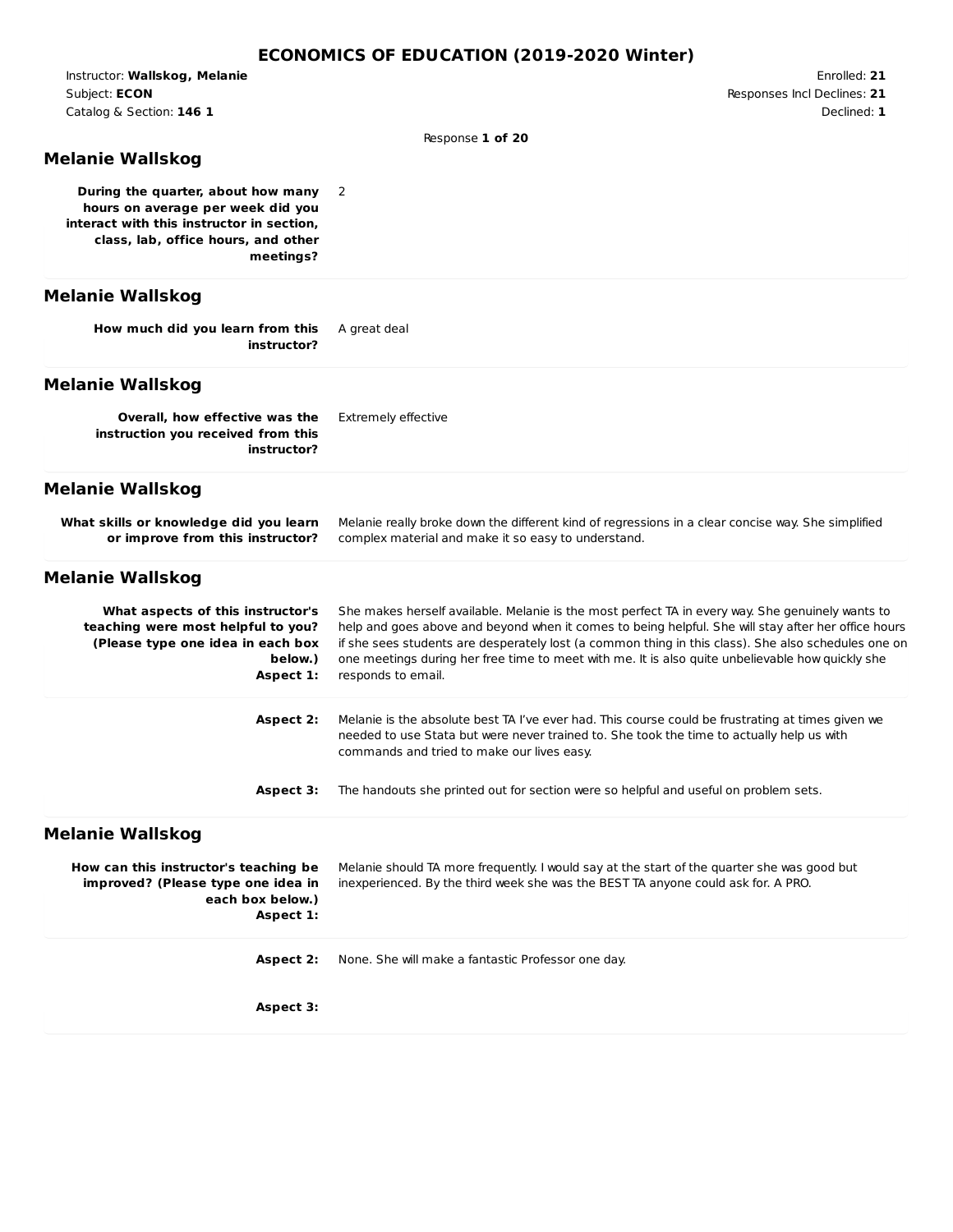Instructor: **Wallskog, Melanie** Subject: **ECON** Catalog & Section: **146 1**

Enrolled: **21** Responses Incl Declines: **21** Declined: **1**

Response **1 of 20**

# **Melanie Wallskog**

**During the quarter, about how many** 2 **hours on average per week did you interact with this instructor in section, class, lab, office hours, and other meetings?**

## **Melanie Wallskog**

| How much did you learn from this |  |             | A great deal |
|----------------------------------|--|-------------|--------------|
|                                  |  | instructor? |              |

## **Melanie Wallskog**

| Overall, how effective was the<br>instruction you received from this<br>instructor?                                                  | <b>Extremely effective</b>                                                                                                                                                                                                                                                                                                                                                                                                               |
|--------------------------------------------------------------------------------------------------------------------------------------|------------------------------------------------------------------------------------------------------------------------------------------------------------------------------------------------------------------------------------------------------------------------------------------------------------------------------------------------------------------------------------------------------------------------------------------|
| <b>Melanie Wallskog</b>                                                                                                              |                                                                                                                                                                                                                                                                                                                                                                                                                                          |
| What skills or knowledge did you learn<br>or improve from this instructor?                                                           | Melanie really broke down the different kind of regressions in a clear concise way. She simplified<br>complex material and make it so easy to understand.                                                                                                                                                                                                                                                                                |
| <b>Melanie Wallskog</b>                                                                                                              |                                                                                                                                                                                                                                                                                                                                                                                                                                          |
| What aspects of this instructor's<br>teaching were most helpful to you?<br>(Please type one idea in each box<br>below.)<br>Aspect 1: | She makes herself available. Melanie is the most perfect TA in every way. She genuinely wants to<br>help and goes above and beyond when it comes to being helpful. She will stay after her office hours<br>if she sees students are desperately lost (a common thing in this class). She also schedules one on<br>one meetings during her free time to meet with me. It is also quite unbelievable how quickly she<br>responds to email. |
| Aspect 2:                                                                                                                            | Melanie is the absolute best TA I've ever had. This course could be frustrating at times given we<br>needed to use Stata but were never trained to. She took the time to actually help us with<br>commands and tried to make our lives easy.                                                                                                                                                                                             |
| Aspect 3:                                                                                                                            | The handouts she printed out for section were so helpful and useful on problem sets.                                                                                                                                                                                                                                                                                                                                                     |
| <b>Melanie Wallskog</b>                                                                                                              |                                                                                                                                                                                                                                                                                                                                                                                                                                          |
| How can this instructor's teaching be<br>improved? (Please type one idea in<br>each box below.)<br>Aspect 1:                         | Melanie should TA more frequently. I would say at the start of the quarter she was good but<br>inexperienced. By the third week she was the BEST TA anyone could ask for. A PRO.                                                                                                                                                                                                                                                         |
| Aspect 2:                                                                                                                            | None. She will make a fantastic Professor one day.                                                                                                                                                                                                                                                                                                                                                                                       |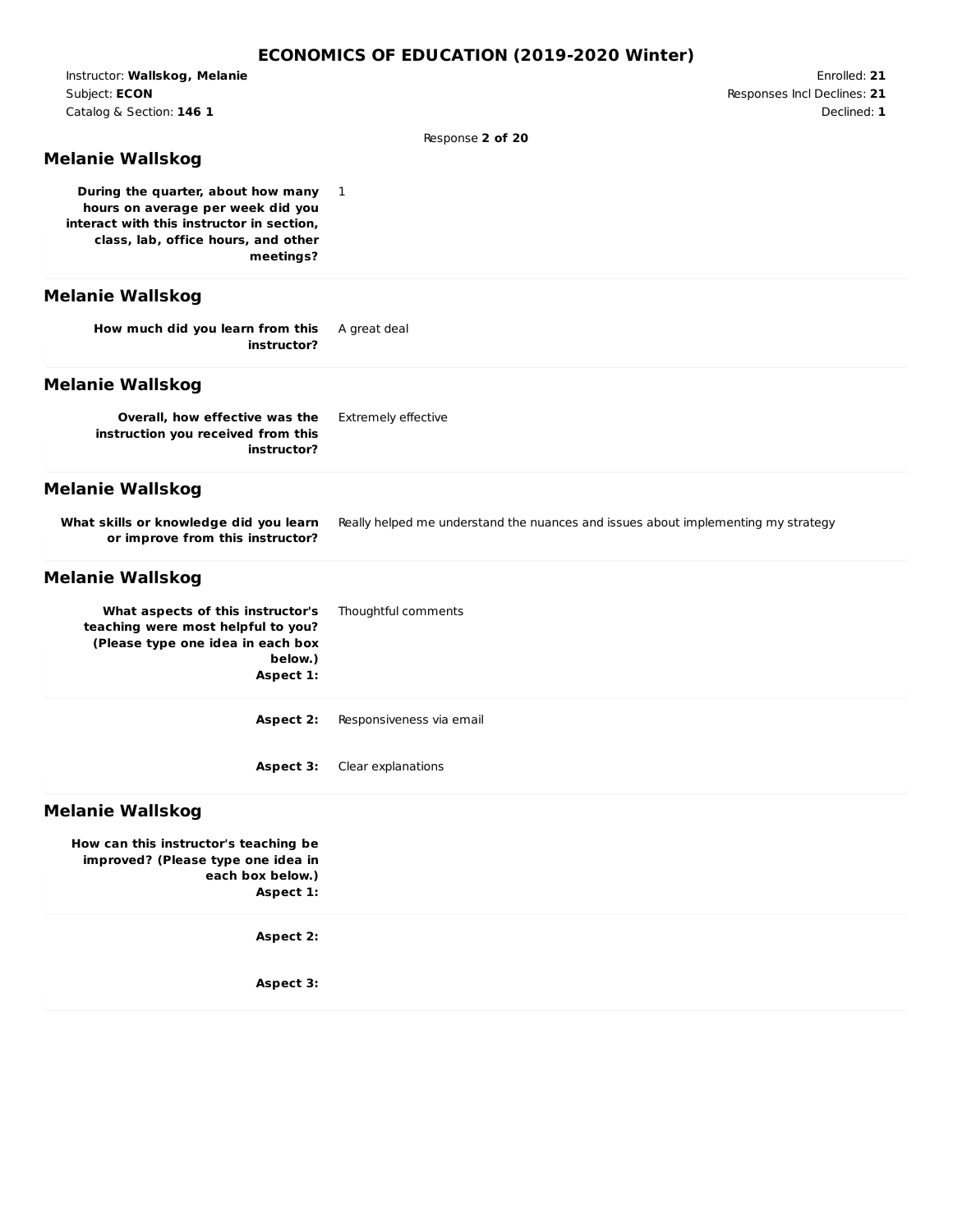Instructor: **Wallskog, Melanie** Subject: **ECON** Catalog & Section: **146 1**

Enrolled: **21** Responses Incl Declines: **21** Declined: **1**

Response **2 of 20**

### **Melanie Wallskog**

**During the quarter, about how many** 1 **hours on average per week did you interact with this instructor in section, class, lab, office hours, and other meetings?**

## **Melanie Wallskog**

| How much did you learn from this |  |             | A great deal |
|----------------------------------|--|-------------|--------------|
|                                  |  | instructor? |              |

## **Melanie Wallskog**

| Overall, how effective was the     | Extremely effective |
|------------------------------------|---------------------|
| instruction you received from this |                     |
| instructor?                        |                     |

### **Melanie Wallskog**

| What skills or knowledge did you learn | Really helped me understand the nuances and issues about implementing my strategy |
|----------------------------------------|-----------------------------------------------------------------------------------|
| or improve from this instructor?       |                                                                                   |

#### **Melanie Wallskog**

| What aspects of this instructor's<br>teaching were most helpful to you?<br>(Please type one idea in each box<br>below.)<br>Aspect 1: | Thoughtful comments      |
|--------------------------------------------------------------------------------------------------------------------------------------|--------------------------|
| Aspect 2:                                                                                                                            | Responsiveness via email |
| Aspect 3:                                                                                                                            | Clear explanations       |

### **Melanie Wallskog**

**How can this instructor's teaching be improved? (Please type one idea in each box below.) Aspect 1:**

**Aspect 2:**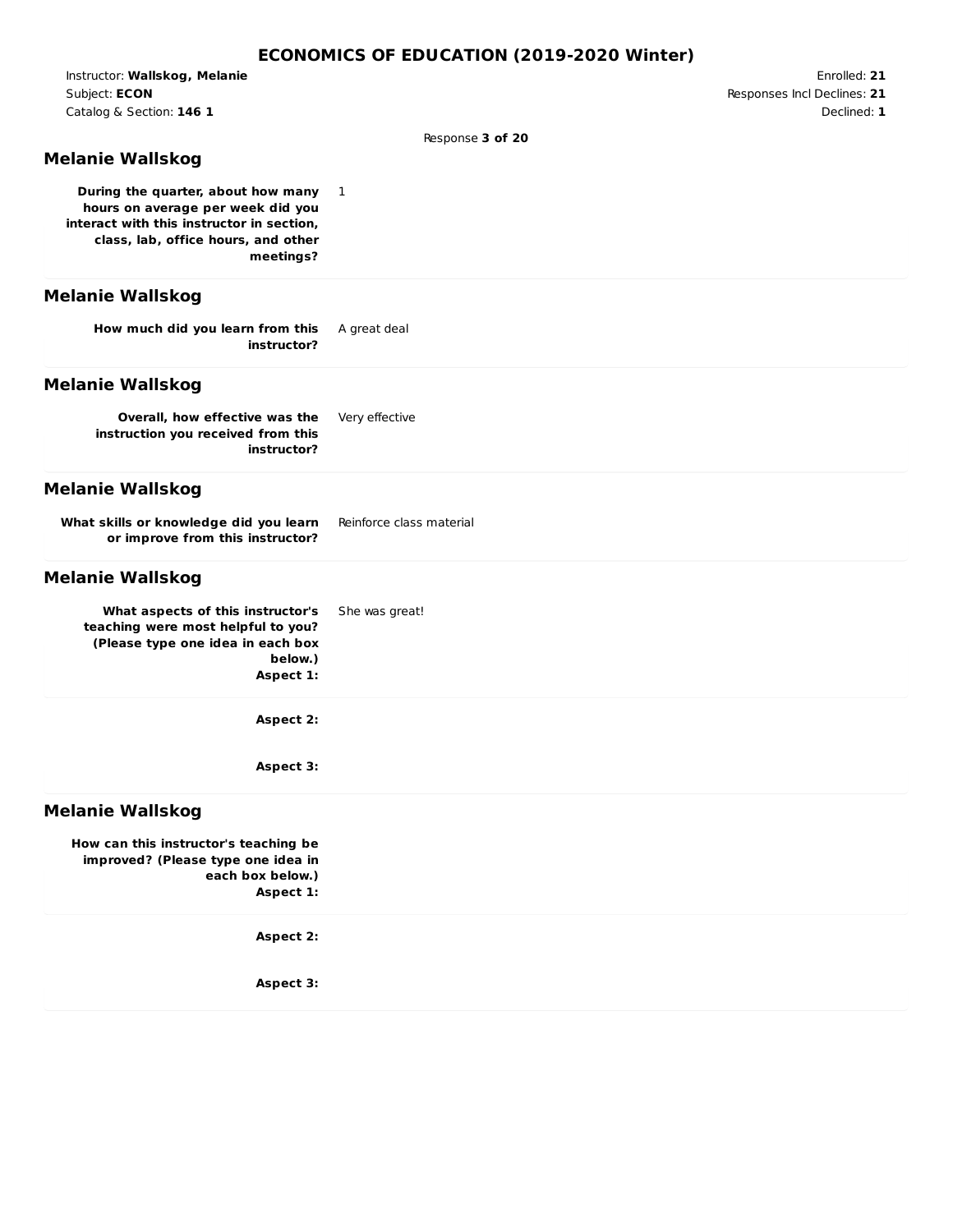Instructor: **Wallskog, Melanie** Subject: **ECON** Catalog & Section: **146 1**

Enrolled: **21** Responses Incl Declines: **21** Declined: **1**

Response **3 of 20**

### **Melanie Wallskog**

**During the quarter, about how many** 1 **hours on average per week did you interact with this instructor in section, class, lab, office hours, and other meetings?**

# **Melanie Wallskog**

| How much did you learn from this |  |             | A great deal |
|----------------------------------|--|-------------|--------------|
|                                  |  | instructor? |              |

#### **Melanie Wallskog**

| Overall, how effective was the     | Very effective |
|------------------------------------|----------------|
| instruction you received from this |                |
| instructor?                        |                |

#### **Melanie Wallskog**

| What skills or knowledge did you learn | Reinforce class material |
|----------------------------------------|--------------------------|
| or improve from this instructor?       |                          |

#### **Melanie Wallskog**

**What aspects of this instructor's teaching were most helpful to you? (Please type one idea in each box below.) Aspect 1:** She was great!

**Aspect 2:**

**Aspect 3:**

#### **Melanie Wallskog**

**How can this instructor's teaching be improved? (Please type one idea in each box below.) Aspect 1:**

**Aspect 2:**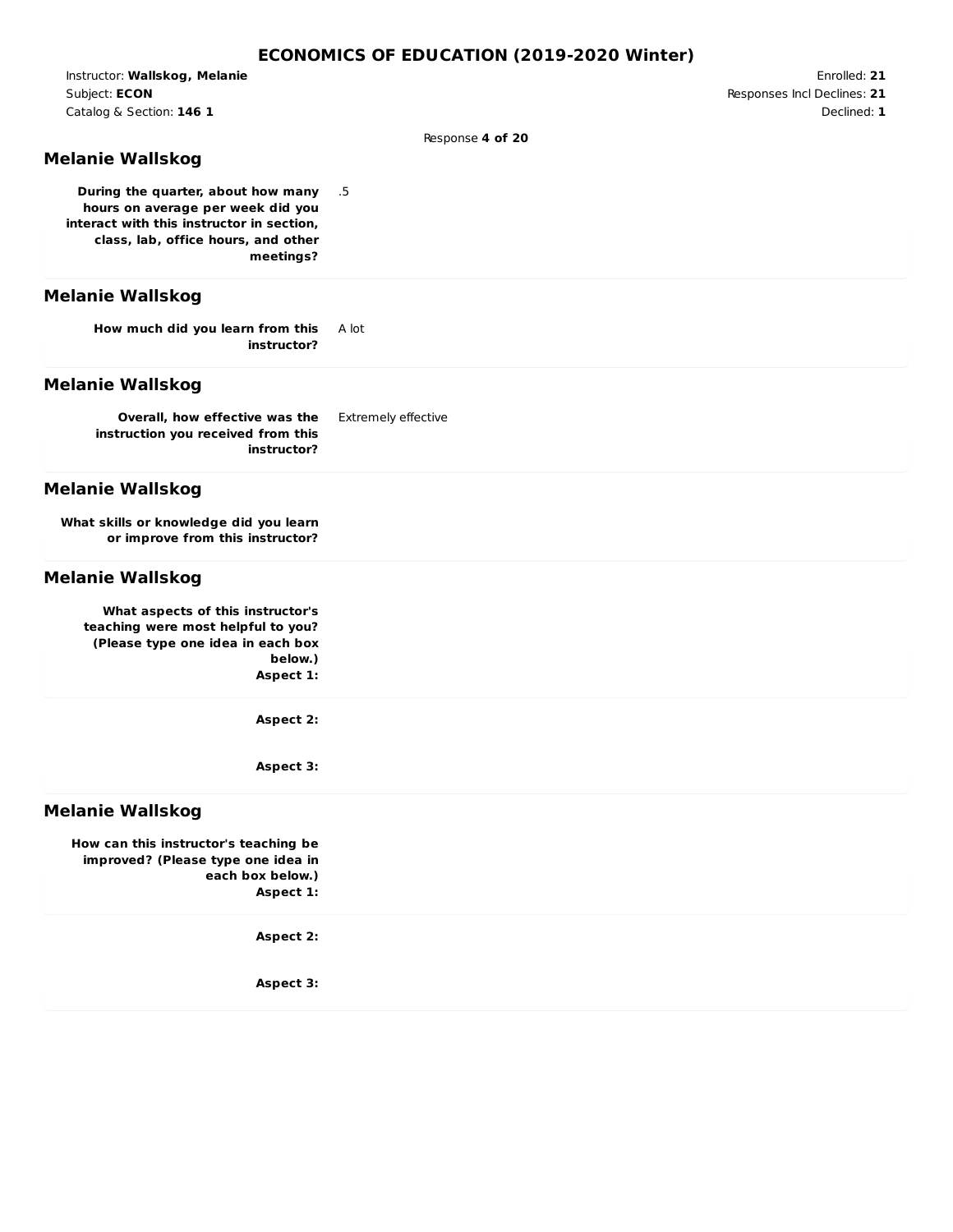Instructor: **Wallskog, Melanie** Subject: **ECON** Catalog & Section: **146 1**

Enrolled: **21** Responses Incl Declines: **21** Declined: **1**

Response **4 of 20**

### **Melanie Wallskog**

**During the quarter, about how many hours on average per week did you interact with this instructor in section, class, lab, office hours, and other meetings?**

### **Melanie Wallskog**

**How much did you learn from this instructor?** A lot

## **Melanie Wallskog**

| Overall, how effective was the     | Extremely effective |
|------------------------------------|---------------------|
| instruction you received from this |                     |
| instructor?                        |                     |

.5

### **Melanie Wallskog**

**What skills or knowledge did you learn or improve from this instructor?**

#### **Melanie Wallskog**

**What aspects of this instructor's teaching were most helpful to you? (Please type one idea in each box below.) Aspect 1:**

**Aspect 2:**

**Aspect 3:**

#### **Melanie Wallskog**

**How can this instructor's teaching be improved? (Please type one idea in each box below.) Aspect 1:**

**Aspect 2:**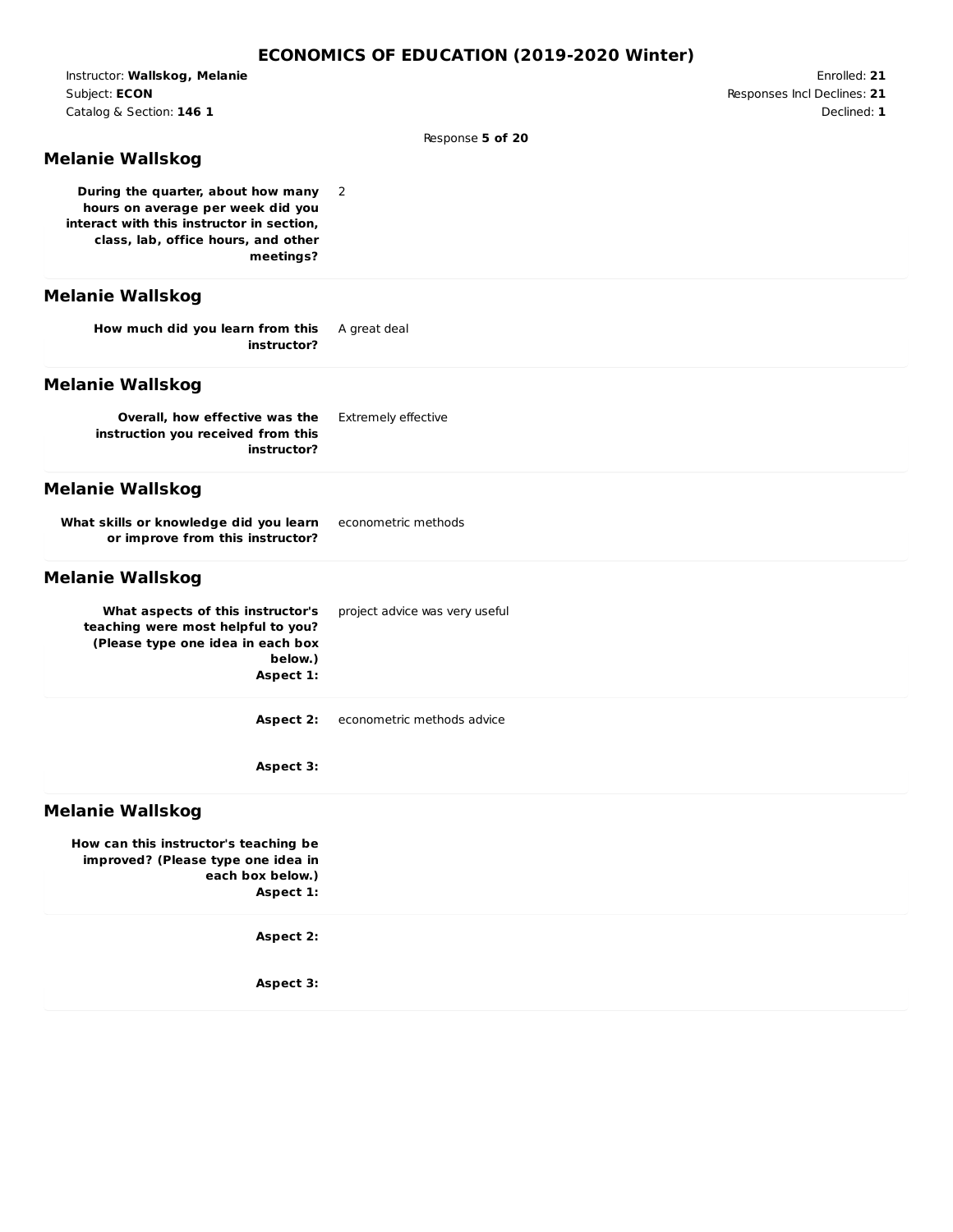Instructor: **Wallskog, Melanie** Subject: **ECON** Catalog & Section: **146 1**

Enrolled: **21** Responses Incl Declines: **21** Declined: **1**

Response **5 of 20**

### **Melanie Wallskog**

**During the quarter, about how many** 2 **hours on average per week did you interact with this instructor in section, class, lab, office hours, and other meetings?**

## **Melanie Wallskog**

| How much did you learn from this |  |             | A great deal |
|----------------------------------|--|-------------|--------------|
|                                  |  | instructor? |              |

## **Melanie Wallskog**

| Overall, how effective was the     | Extremely effective |
|------------------------------------|---------------------|
| instruction you received from this |                     |
| instructor?                        |                     |

#### **Melanie Wallskog**

| What skills or knowledge did you learn | econometric methods |
|----------------------------------------|---------------------|
| or improve from this instructor?       |                     |

#### **Melanie Wallskog**

| What aspects of this instructor's<br>teaching were most helpful to you?<br>(Please type one idea in each box<br>below.)<br>Aspect 1: | project advice was very useful              |
|--------------------------------------------------------------------------------------------------------------------------------------|---------------------------------------------|
|                                                                                                                                      | <b>Aspect 2:</b> econometric methods advice |

**Aspect 3:**

#### **Melanie Wallskog**

**How can this instructor's teaching be improved? (Please type one idea in each box below.) Aspect 1:**

**Aspect 2:**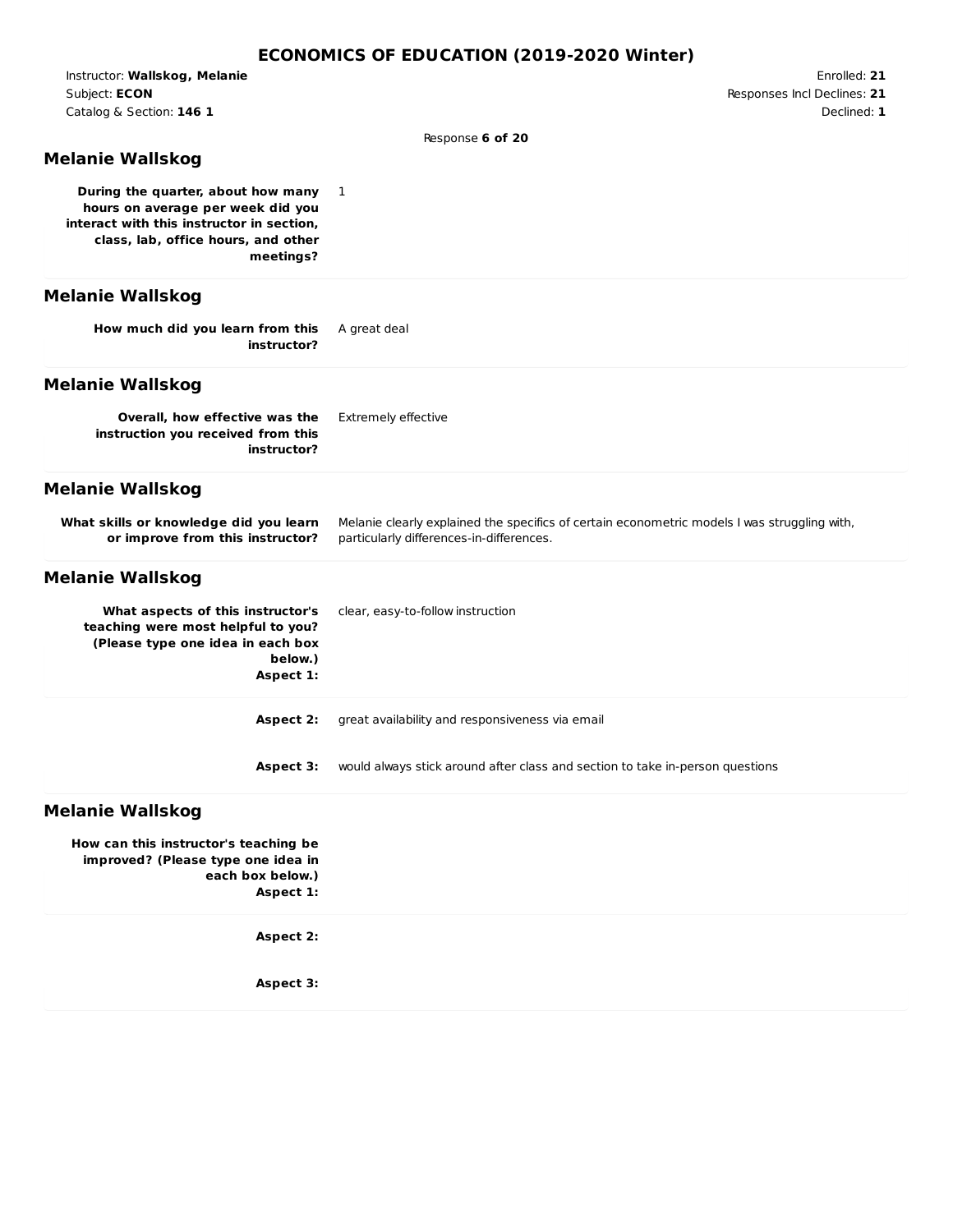Instructor: **Wallskog, Melanie** Subject: **ECON** Catalog & Section: **146 1**

Enrolled: **21** Responses Incl Declines: **21** Declined: **1**

Response **6 of 20**

### **Melanie Wallskog**

**During the quarter, about how many** 1 **hours on average per week did you interact with this instructor in section, class, lab, office hours, and other meetings?**

## **Melanie Wallskog**

| How much did you learn from this |  |             | A great deal |
|----------------------------------|--|-------------|--------------|
|                                  |  | instructor? |              |

## **Melanie Wallskog**

| Overall, how effective was the     | Extremely effective |
|------------------------------------|---------------------|
| instruction you received from this |                     |
| instructor?                        |                     |

### **Melanie Wallskog**

| What skills or knowledge did you learn | Melanie clearly explained the specifics of certain econometric models I was struggling with, |
|----------------------------------------|----------------------------------------------------------------------------------------------|
| or improve from this instructor?       | particularly differences-in-differences.                                                     |
|                                        |                                                                                              |

#### **Melanie Wallskog**

| <b>What aspects of this instructor's</b> clear, easy-to-follow instruction<br>teaching were most helpful to you?<br>(Please type one idea in each box<br>below.)<br>Aspect 1: |                                                                               |
|-------------------------------------------------------------------------------------------------------------------------------------------------------------------------------|-------------------------------------------------------------------------------|
| Aspect 2:                                                                                                                                                                     | great availability and responsiveness via email                               |
| <b>Aspect 3:</b>                                                                                                                                                              | would always stick around after class and section to take in-person questions |

### **Melanie Wallskog**

**How can this instructor's teaching be improved? (Please type one idea in each box below.) Aspect 1:**

**Aspect 2:**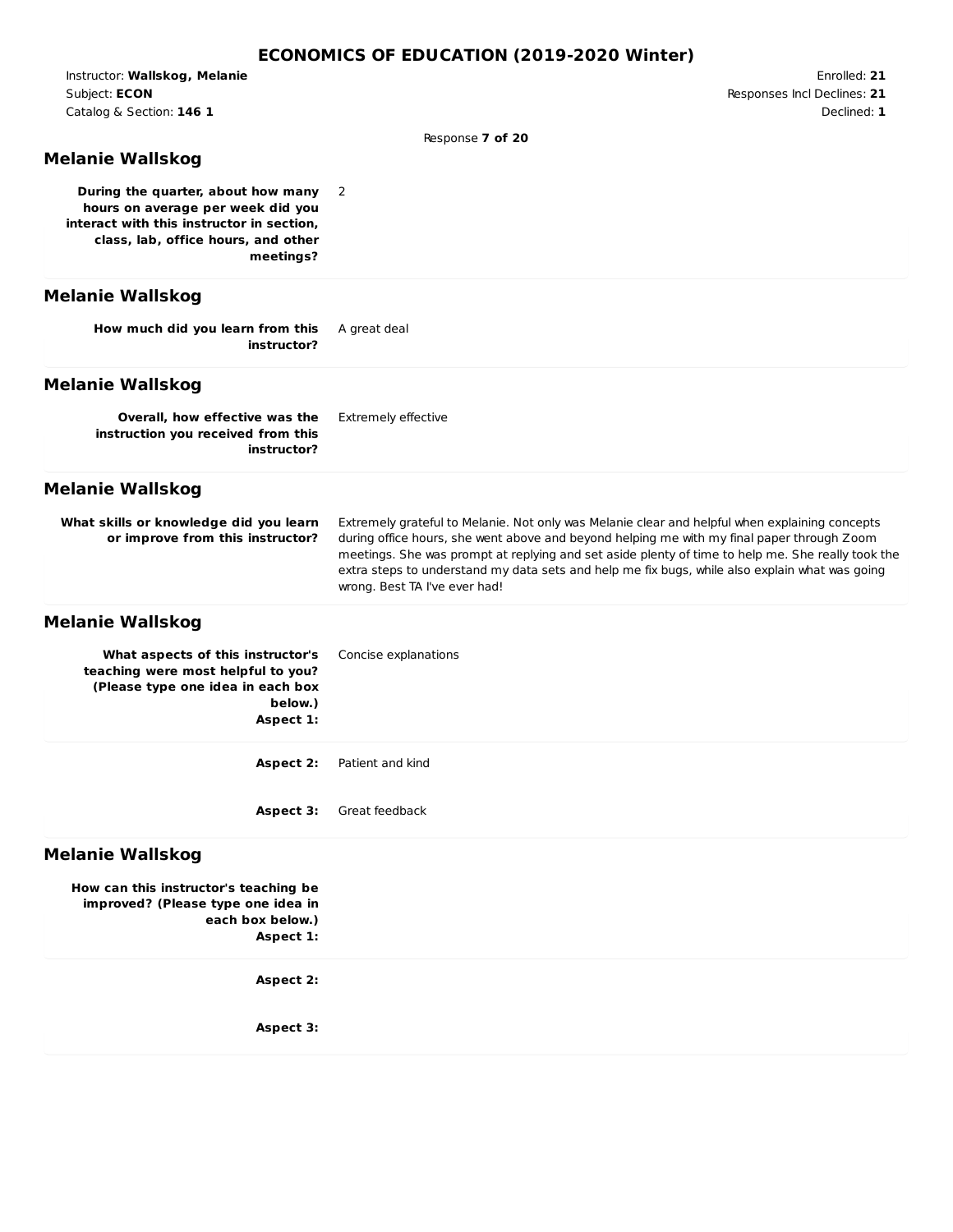Instructor: **Wallskog, Melanie** Subject: **ECON** Catalog & Section: **146 1**

Enrolled: **21** Responses Incl Declines: **21** Declined: **1**

Response **7 of 20**

## **Melanie Wallskog**

**During the quarter, about how many** 2 **hours on average per week did you interact with this instructor in section, class, lab, office hours, and other meetings?**

## **Melanie Wallskog**

|  |  | How much did you learn from this |             | A great deal |
|--|--|----------------------------------|-------------|--------------|
|  |  |                                  | instructor? |              |

## **Melanie Wallskog**

| Overall, how effective was the     | Extremely effective |
|------------------------------------|---------------------|
| instruction you received from this |                     |
| instructor?                        |                     |

### **Melanie Wallskog**

### **Melanie Wallskog**

| <b>What aspects of this instructor's</b> Concise explanations<br>teaching were most helpful to you?<br>(Please type one idea in each box<br>below.)<br>Aspect 1: |                  |
|------------------------------------------------------------------------------------------------------------------------------------------------------------------|------------------|
| Aspect 2:                                                                                                                                                        | Patient and kind |
| Aspect 3:                                                                                                                                                        | Great feedback   |

### **Melanie Wallskog**

**How can this instructor's teaching be improved? (Please type one idea in each box below.) Aspect 1:**

**Aspect 2:**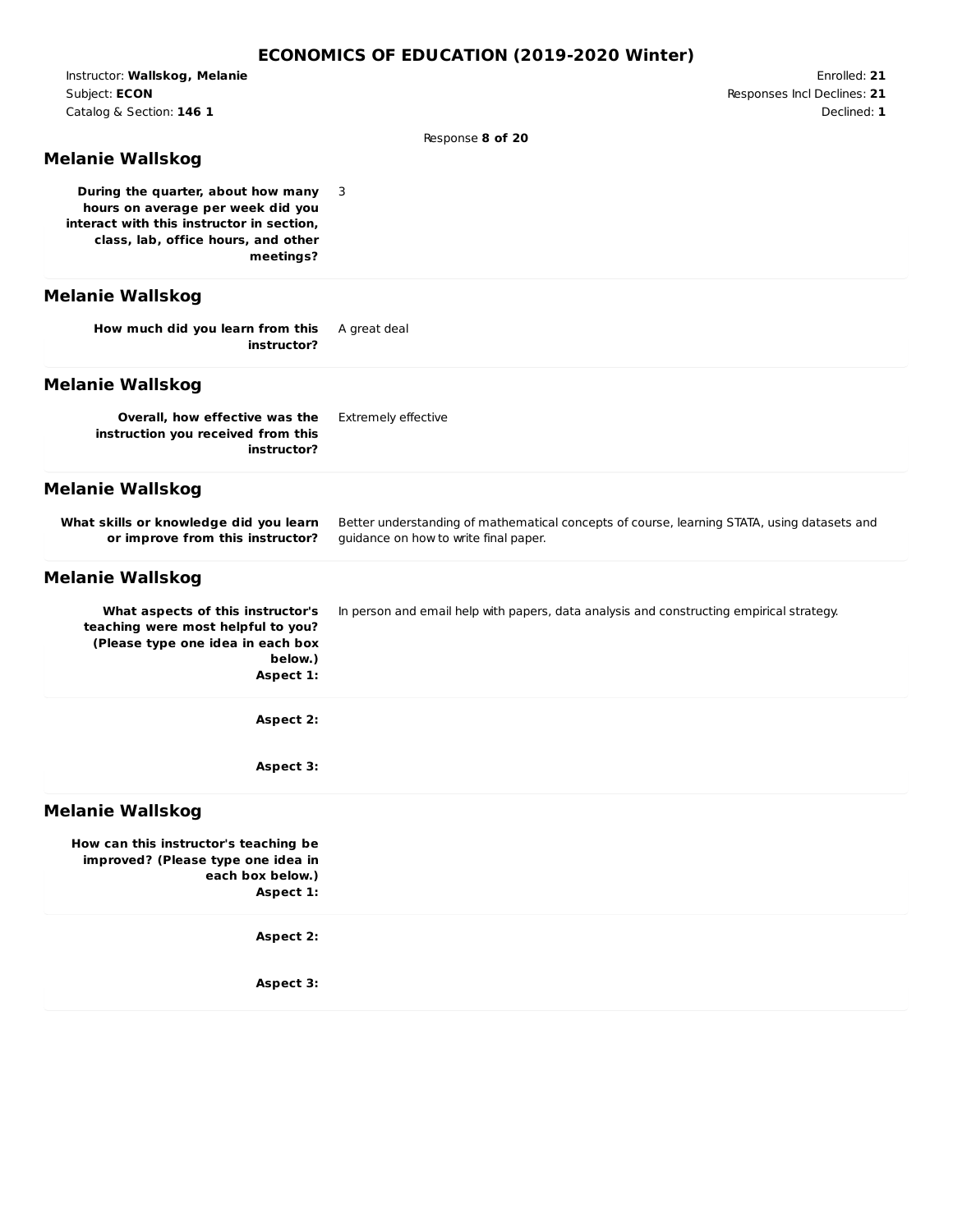Instructor: **Wallskog, Melanie** Subject: **ECON** Catalog & Section: **146 1**

Enrolled: **21** Responses Incl Declines: **21** Declined: **1**

Response **8 of 20**

### **Melanie Wallskog**

**During the quarter, about how many hours on average per week did you interact with this instructor in section, class, lab, office hours, and other meetings?**

### **Melanie Wallskog**

**How much did you learn from this instructor?** A great deal

3

## **Melanie Wallskog**

| Overall, how effective was the     | Extremely effective |
|------------------------------------|---------------------|
| instruction you received from this |                     |
| instructor?                        |                     |

### **Melanie Wallskog**

| What skills or knowledge did you learn | Better understanding of mathematical concepts of course, learning STATA, using datasets and |
|----------------------------------------|---------------------------------------------------------------------------------------------|
| or improve from this instructor?       | quidance on how to write final paper.                                                       |

#### **Melanie Wallskog**

**What aspects of this instructor's teaching were most helpful to you? (Please type one idea in each box below.) Aspect 1:** In person and email help with papers, data analysis and constructing empirical strategy. **Aspect 2:**

**Aspect 3:**

#### **Melanie Wallskog**

**How can this instructor's teaching be improved? (Please type one idea in each box below.) Aspect 1:**

**Aspect 2:**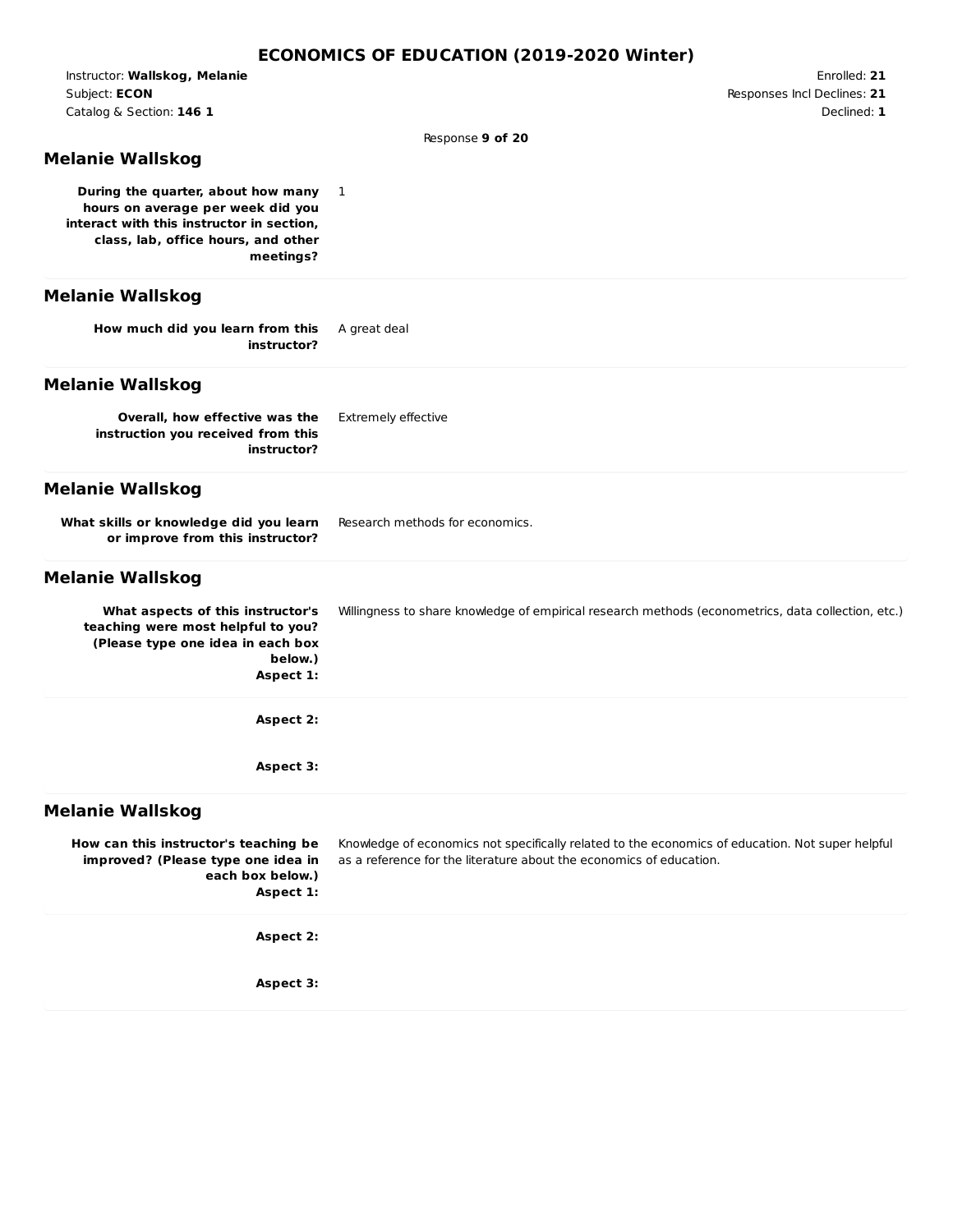Instructor: **Wallskog, Melanie** Subject: **ECON** Catalog & Section: **146 1**

Enrolled: **21** Responses Incl Declines: **21** Declined: **1**

Response **9 of 20**

### **Melanie Wallskog**

**During the quarter, about how many hours on average per week did you interact with this instructor in section, class, lab, office hours, and other meetings?**

### **Melanie Wallskog**

| How much did you learn from this |  |             | A great deal |
|----------------------------------|--|-------------|--------------|
|                                  |  | instructor? |              |

### **Melanie Wallskog**

| Overall, how effective was the     | Extremely effective |
|------------------------------------|---------------------|
| instruction you received from this |                     |
| instructor?                        |                     |

#### **Melanie Wallskog**

| What skills or knowledge did you learn | Research methods for economics. |
|----------------------------------------|---------------------------------|
| or improve from this instructor?       |                                 |

1

#### **Melanie Wallskog**

**What aspects of this instructor's teaching were most helpful to you? (Please type one idea in each box below.) Aspect 1:** Willingness to share knowledge of empirical research methods (econometrics, data collection, etc.) **Aspect 2: Aspect 3:**

#### **Melanie Wallskog**

**How can this instructor's teaching be improved? (Please type one idea in each box below.) Aspect 1:**

Knowledge of economics not specifically related to the economics of education. Not super helpful as a reference for the literature about the economics of education.

**Aspect 2:**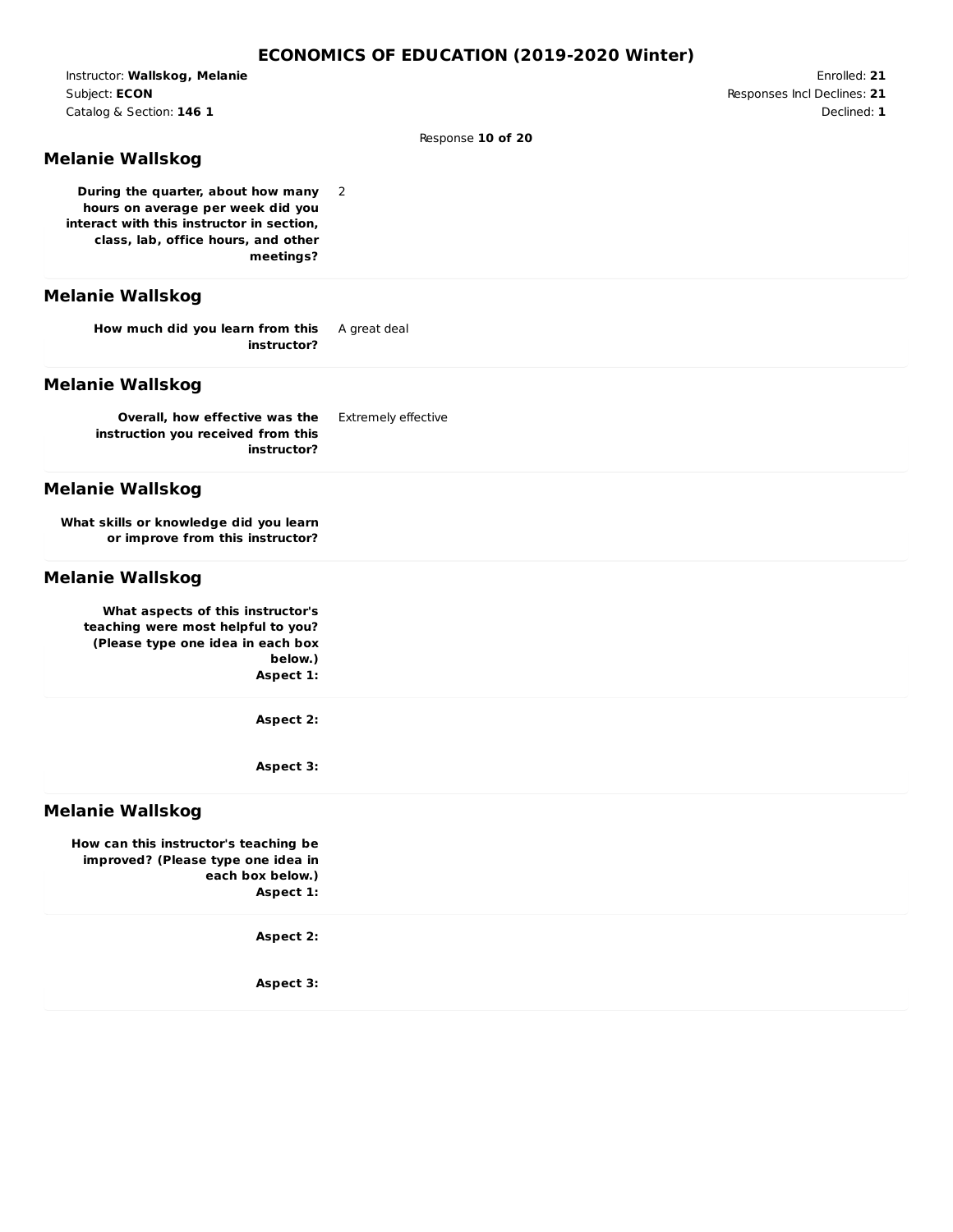Instructor: **Wallskog, Melanie** Subject: **ECON** Catalog & Section: **146 1**

Enrolled: **21** Responses Incl Declines: **21** Declined: **1**

Response **10 of 20**

### **Melanie Wallskog**

**During the quarter, about how many** 2 **hours on average per week did you interact with this instructor in section, class, lab, office hours, and other meetings?**

#### **Melanie Wallskog**

**How much did you learn from this instructor?** A great deal

## **Melanie Wallskog**

| Overall, how effective was the     | Extremely effective |
|------------------------------------|---------------------|
| instruction you received from this |                     |
| instructor?                        |                     |

#### **Melanie Wallskog**

**What skills or knowledge did you learn or improve from this instructor?**

#### **Melanie Wallskog**

**What aspects of this instructor's teaching were most helpful to you? (Please type one idea in each box below.) Aspect 1:**

**Aspect 2:**

**Aspect 3:**

#### **Melanie Wallskog**

**How can this instructor's teaching be improved? (Please type one idea in each box below.) Aspect 1:**

**Aspect 2:**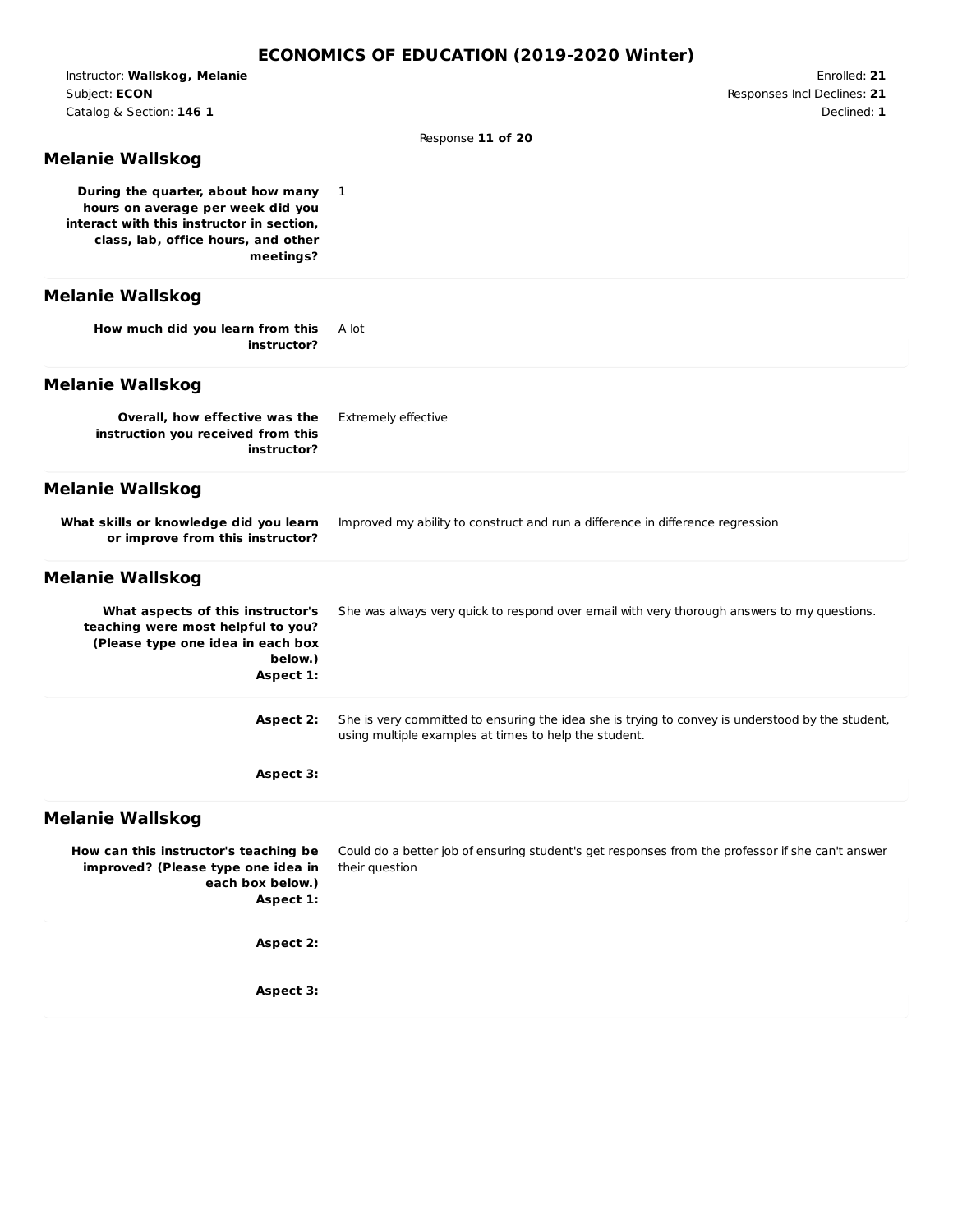Instructor: **Wallskog, Melanie** Subject: **ECON** Catalog & Section: **146 1**

Enrolled: **21** Responses Incl Declines: **21** Declined: **1**

Response **11 of 20**

### **Melanie Wallskog**

**During the quarter, about how many** 1 **hours on average per week did you interact with this instructor in section, class, lab, office hours, and other meetings?**

### **Melanie Wallskog**

**How much did you learn from this instructor?** A lot

## **Melanie Wallskog**

| Overall, how effective was the     | Extremely effective |
|------------------------------------|---------------------|
| instruction you received from this |                     |
| instructor?                        |                     |

### **Melanie Wallskog**

| What skills or knowledge did you learn | Improved my ability to construct and run a difference in difference regression |
|----------------------------------------|--------------------------------------------------------------------------------|
| or improve from this instructor?       |                                                                                |

#### **Melanie Wallskog**

| What aspects of this instructor's<br>teaching were most helpful to you?<br>(Please type one idea in each box<br>below.)<br>Aspect 1: | She was always very quick to respond over email with very thorough answers to my questions.                                                               |
|--------------------------------------------------------------------------------------------------------------------------------------|-----------------------------------------------------------------------------------------------------------------------------------------------------------|
| Aspect 2:                                                                                                                            | She is very committed to ensuring the idea she is trying to convey is understood by the student,<br>using multiple examples at times to help the student. |
| Aspect 3:                                                                                                                            |                                                                                                                                                           |

#### **Melanie Wallskog**

**How can this instructor's teaching be improved? (Please type one idea in each box below.) Aspect 1:** Could do a better job of ensuring student's get responses from the professor if she can't answer their question **Aspect 2:**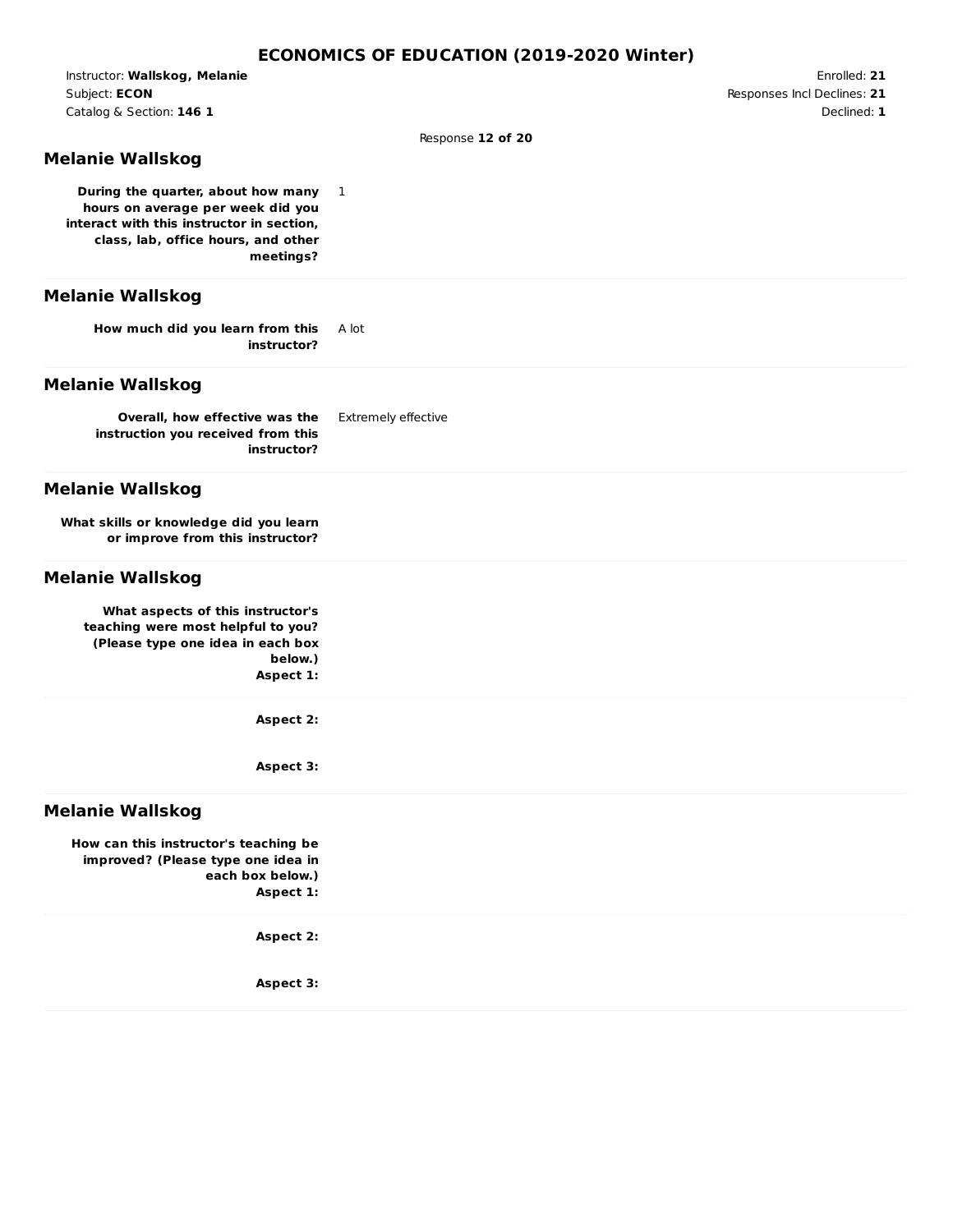Instructor: **Wallskog, Melanie** Subject: **ECON** Catalog & Section: **146 1**

Enrolled: **21** Responses Incl Declines: **21** Declined: **1**

Response **12 of 20**

### **Melanie Wallskog**

**During the quarter, about how many hours on average per week did you interact with this instructor in section, class, lab, office hours, and other meetings?**

### **Melanie Wallskog**

**How much did you learn from this instructor?** A lot

## **Melanie Wallskog**

| Overall, how effective was the     | Extremely effective |
|------------------------------------|---------------------|
| instruction you received from this |                     |
| instructor?                        |                     |

1

#### **Melanie Wallskog**

**What skills or knowledge did you learn or improve from this instructor?**

#### **Melanie Wallskog**

**What aspects of this instructor's teaching were most helpful to you? (Please type one idea in each box below.) Aspect 1:**

**Aspect 2:**

**Aspect 3:**

#### **Melanie Wallskog**

**How can this instructor's teaching be improved? (Please type one idea in each box below.) Aspect 1:**

**Aspect 2:**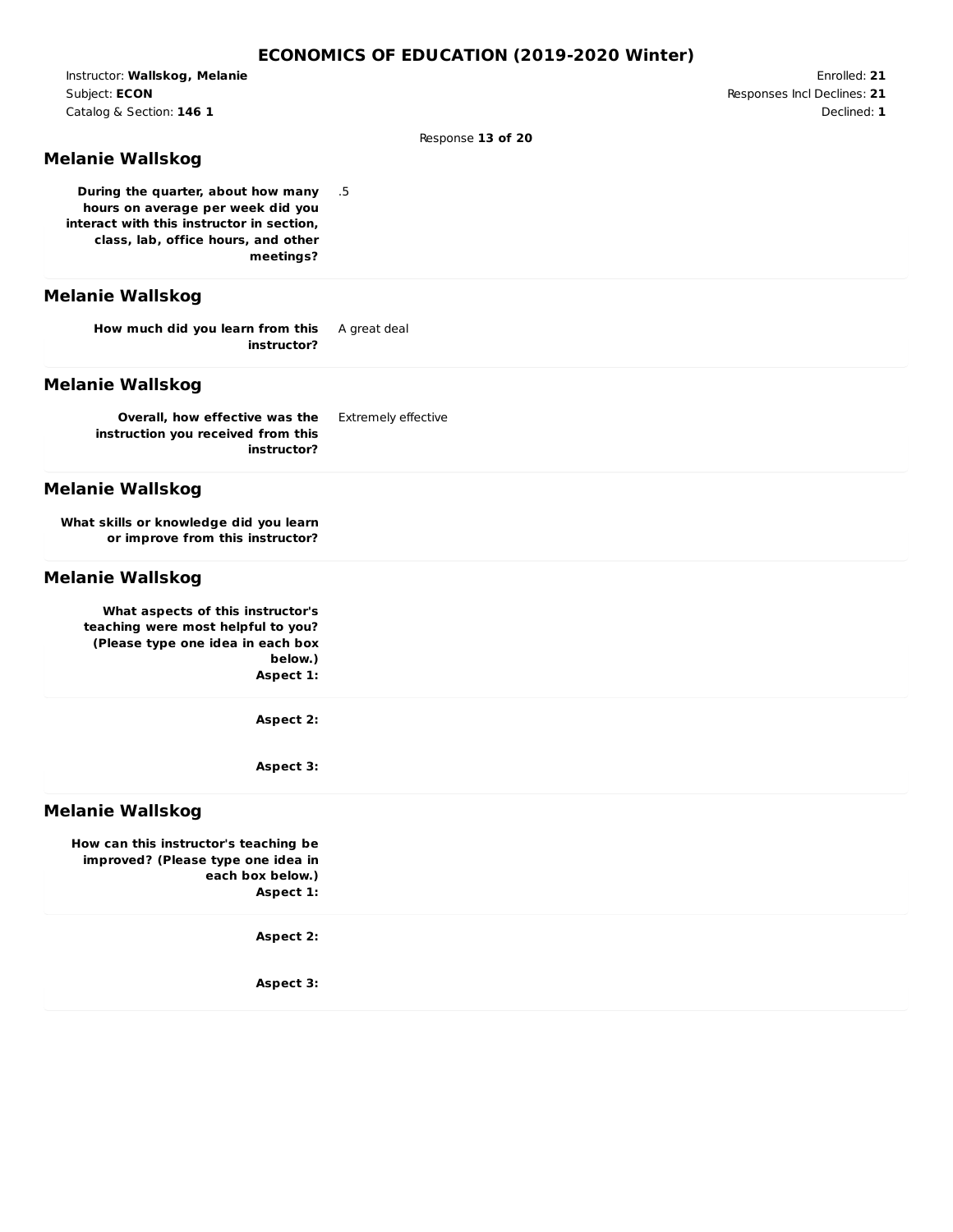Instructor: **Wallskog, Melanie** Subject: **ECON** Catalog & Section: **146 1**

Enrolled: **21** Responses Incl Declines: **21** Declined: **1**

Response **13 of 20**

### **Melanie Wallskog**

**During the quarter, about how many hours on average per week did you interact with this instructor in section, class, lab, office hours, and other meetings?**

### **Melanie Wallskog**

**How much did you learn from this instructor?** A great deal

## **Melanie Wallskog**

| Overall, how effective was the     | Extremely effective |
|------------------------------------|---------------------|
| instruction you received from this |                     |
| instructor?                        |                     |

.5

### **Melanie Wallskog**

**What skills or knowledge did you learn or improve from this instructor?**

#### **Melanie Wallskog**

**What aspects of this instructor's teaching were most helpful to you? (Please type one idea in each box below.) Aspect 1:**

**Aspect 2:**

**Aspect 3:**

#### **Melanie Wallskog**

**How can this instructor's teaching be improved? (Please type one idea in each box below.) Aspect 1:**

**Aspect 2:**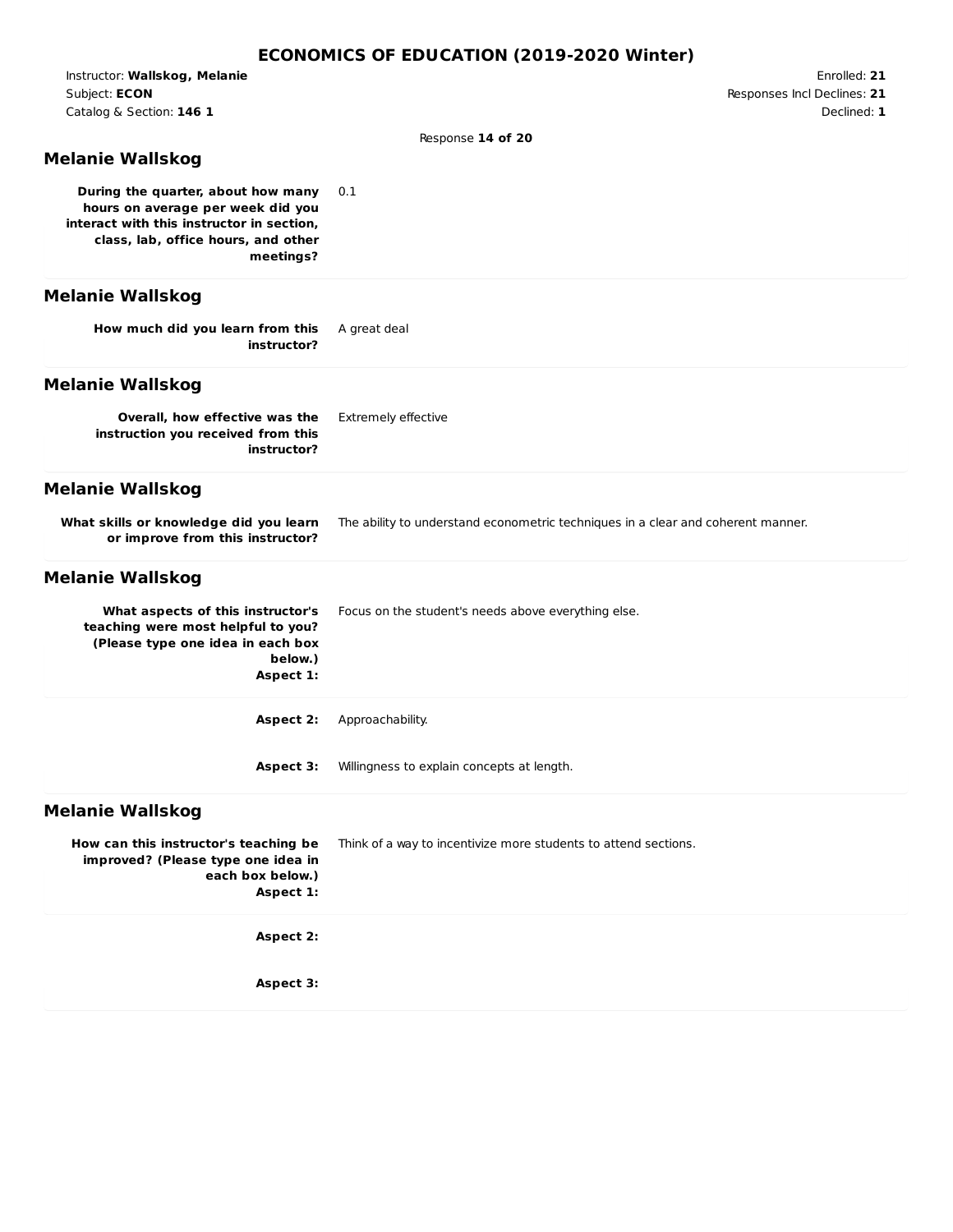Instructor: **Wallskog, Melanie** Subject: **ECON** Catalog & Section: **146 1**

Enrolled: **21** Responses Incl Declines: **21** Declined: **1**

Response **14 of 20**

### **Melanie Wallskog**

**During the quarter, about how many hours on average per week did you interact with this instructor in section, class, lab, office hours, and other meetings?** 0.1

# **Melanie Wallskog**

| How much did you learn from this |  |             | A great deal |
|----------------------------------|--|-------------|--------------|
|                                  |  | instructor? |              |

### **Melanie Wallskog**

| Overall, how effective was the     | Extremely effective |
|------------------------------------|---------------------|
| instruction you received from this |                     |
| instructor?                        |                     |

### **Melanie Wallskog**

| What skills or knowledge did you learn | The ability to understand econometric techniques in a clear and coherent manner. |
|----------------------------------------|----------------------------------------------------------------------------------|
| or improve from this instructor?       |                                                                                  |

#### **Melanie Wallskog**

| Focus on the student's needs above everything else. |
|-----------------------------------------------------|
|                                                     |
|                                                     |
|                                                     |
|                                                     |
|                                                     |

**Aspect 2:** Approachability.

**Aspect 3:** Willingness to explain concepts at length.

#### **Melanie Wallskog**

**How can this instructor's teaching be** Think of a way to incentivize more students to attend sections.

**improved? (Please type one idea in each box below.) Aspect 1:**

**Aspect 2:**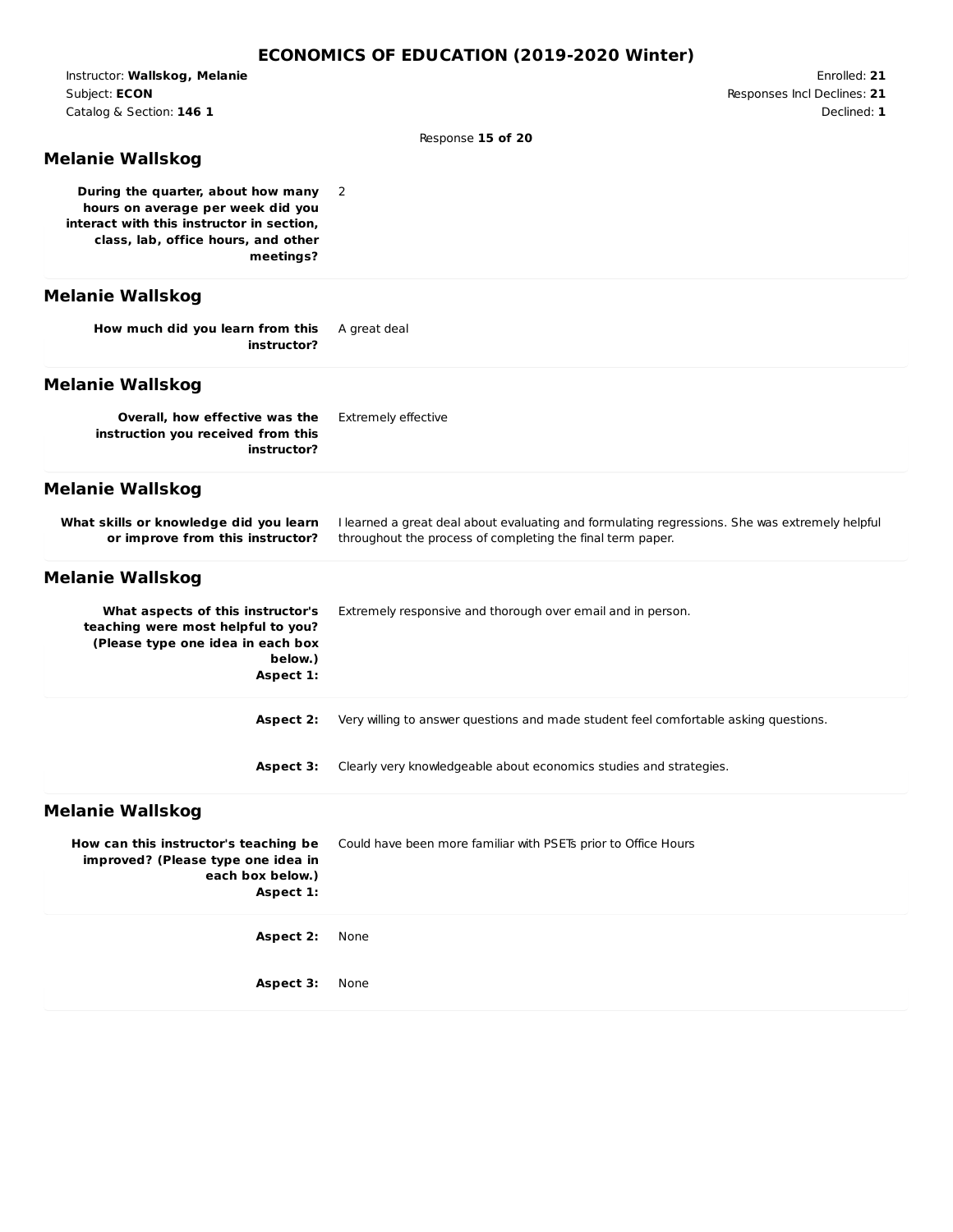Instructor: **Wallskog, Melanie** Subject: **ECON** Catalog & Section: **146 1**

Enrolled: **21** Responses Incl Declines: **21** Declined: **1**

Response **15 of 20**

## **Melanie Wallskog**

**During the quarter, about how many hours on average per week did you interact with this instructor in section, class, lab, office hours, and other meetings?** 2

# **Melanie Wallskog**

| How much did you learn from this |  |             | A great deal |
|----------------------------------|--|-------------|--------------|
|                                  |  | instructor? |              |

### **Melanie Wallskog**

| Overall, how effective was the     | Extremely effective |
|------------------------------------|---------------------|
| instruction you received from this |                     |
| instructor?                        |                     |

### **Melanie Wallskog**

| What skills or knowledge did you learn<br>or improve from this instructor?                                                           | I learned a great deal about evaluating and formulating regressions. She was extremely helpful<br>throughout the process of completing the final term paper. |
|--------------------------------------------------------------------------------------------------------------------------------------|--------------------------------------------------------------------------------------------------------------------------------------------------------------|
| <b>Melanie Wallskog</b>                                                                                                              |                                                                                                                                                              |
| What aspects of this instructor's<br>teaching were most helpful to you?<br>(Please type one idea in each box<br>below.)<br>Aspect 1: | Extremely responsive and thorough over email and in person.                                                                                                  |

**Aspect 2:** Very willing to answer questions and made student feel comfortable asking questions.

**Aspect 3:** Clearly very knowledgeable about economics studies and strategies.

#### **Melanie Wallskog**

**How can this instructor's teaching be improved? (Please type one idea in each box below.) Aspect 1:** Could have been more familiar with PSETs prior to Office Hours **Aspect 2:** None **Aspect 3:** None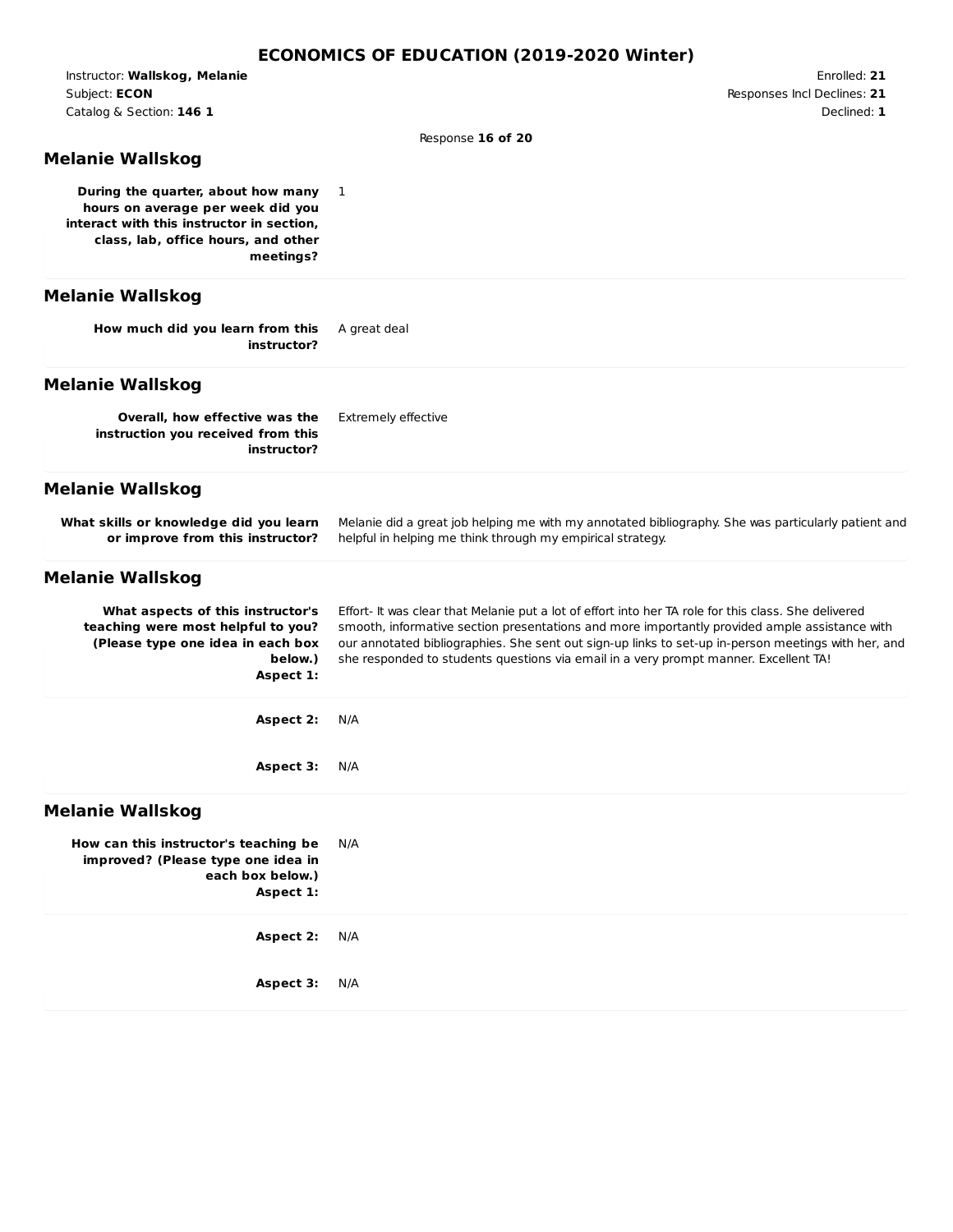Instructor: **Wallskog, Melanie** Subject: **ECON** Catalog & Section: **146 1**

Enrolled: **21** Responses Incl Declines: **21** Declined: **1**

Response **16 of 20**

# **Melanie Wallskog**

**During the quarter, about how many** 1 **hours on average per week did you interact with this instructor in section, class, lab, office hours, and other meetings?**

## **Melanie Wallskog**

| How much did you learn from this |  |             | A great deal |
|----------------------------------|--|-------------|--------------|
|                                  |  | instructor? |              |

## **Melanie Wallskog**

| <b>Overall, how effective was the</b> Extremely effective<br>instruction you received from this<br>instructor? |  |
|----------------------------------------------------------------------------------------------------------------|--|
| <b>Melanie Wallskog</b>                                                                                        |  |

|                                  | What skills or knowledge did you learn Melanie did a great job helping me with my annotated bibliography. She was particularly patient and |
|----------------------------------|--------------------------------------------------------------------------------------------------------------------------------------------|
| or improve from this instructor? | helpful in helping me think through my empirical strategy.                                                                                 |

# **Melanie Wallskog**

| What aspects of this instructor's<br>teaching were most helpful to you?<br>(Please type one idea in each box<br>below.)<br>Aspect 1: | Effort- It was clear that Melanie put a lot of effort into her TA role for this class. She delivered<br>smooth, informative section presentations and more importantly provided ample assistance with<br>our annotated bibliographies. She sent out sign-up links to set-up in-person meetings with her, and<br>she responded to students questions via email in a very prompt manner. Excellent TA! |
|--------------------------------------------------------------------------------------------------------------------------------------|------------------------------------------------------------------------------------------------------------------------------------------------------------------------------------------------------------------------------------------------------------------------------------------------------------------------------------------------------------------------------------------------------|
| Aspect 2:                                                                                                                            | N/A                                                                                                                                                                                                                                                                                                                                                                                                  |
| Aspect 3:                                                                                                                            | N/A                                                                                                                                                                                                                                                                                                                                                                                                  |
|                                                                                                                                      |                                                                                                                                                                                                                                                                                                                                                                                                      |

## **Melanie Wallskog**

| How can this instructor's teaching be N/A<br>improved? (Please type one idea in<br>each box below.)<br>Aspect 1: |     |
|------------------------------------------------------------------------------------------------------------------|-----|
| Aspect 2:                                                                                                        | N/A |
| Aspect 3:                                                                                                        | N/A |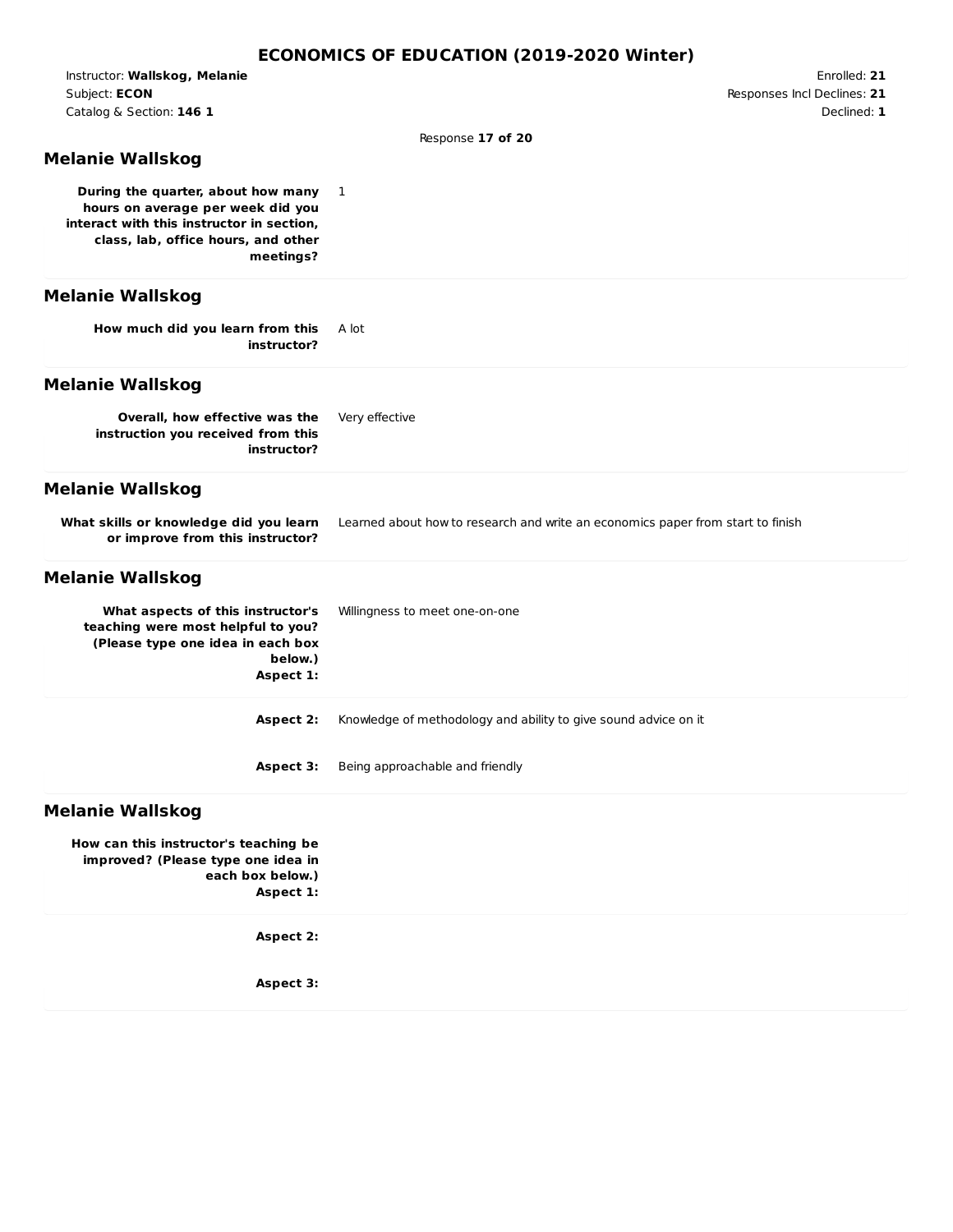Instructor: **Wallskog, Melanie** Subject: **ECON** Catalog & Section: **146 1**

Enrolled: **21** Responses Incl Declines: **21** Declined: **1**

Response **17 of 20**

### **Melanie Wallskog**

**During the quarter, about how many** 1 **hours on average per week did you interact with this instructor in section, class, lab, office hours, and other meetings?**

## **Melanie Wallskog**

**How much did you learn from this instructor?** A lot

## **Melanie Wallskog**

| Overall, how effective was the     | Very effective |
|------------------------------------|----------------|
| instruction you received from this |                |
| instructor?                        |                |

### **Melanie Wallskog**

| What skills or knowledge did you learn | Learned about how to research and write an economics paper from start to finish |
|----------------------------------------|---------------------------------------------------------------------------------|
| or improve from this instructor?       |                                                                                 |

#### **Melanie Wallskog**

| What aspects of this instructor's<br>teaching were most helpful to you?<br>(Please type one idea in each box<br>below.)<br>Aspect 1: | Willingness to meet one-on-one                                  |
|--------------------------------------------------------------------------------------------------------------------------------------|-----------------------------------------------------------------|
| Aspect 2:                                                                                                                            | Knowledge of methodology and ability to give sound advice on it |
| Aspect 3:                                                                                                                            | Being approachable and friendly                                 |

#### **Melanie Wallskog**

**How can this instructor's teaching be improved? (Please type one idea in each box below.) Aspect 1:**

**Aspect 2:**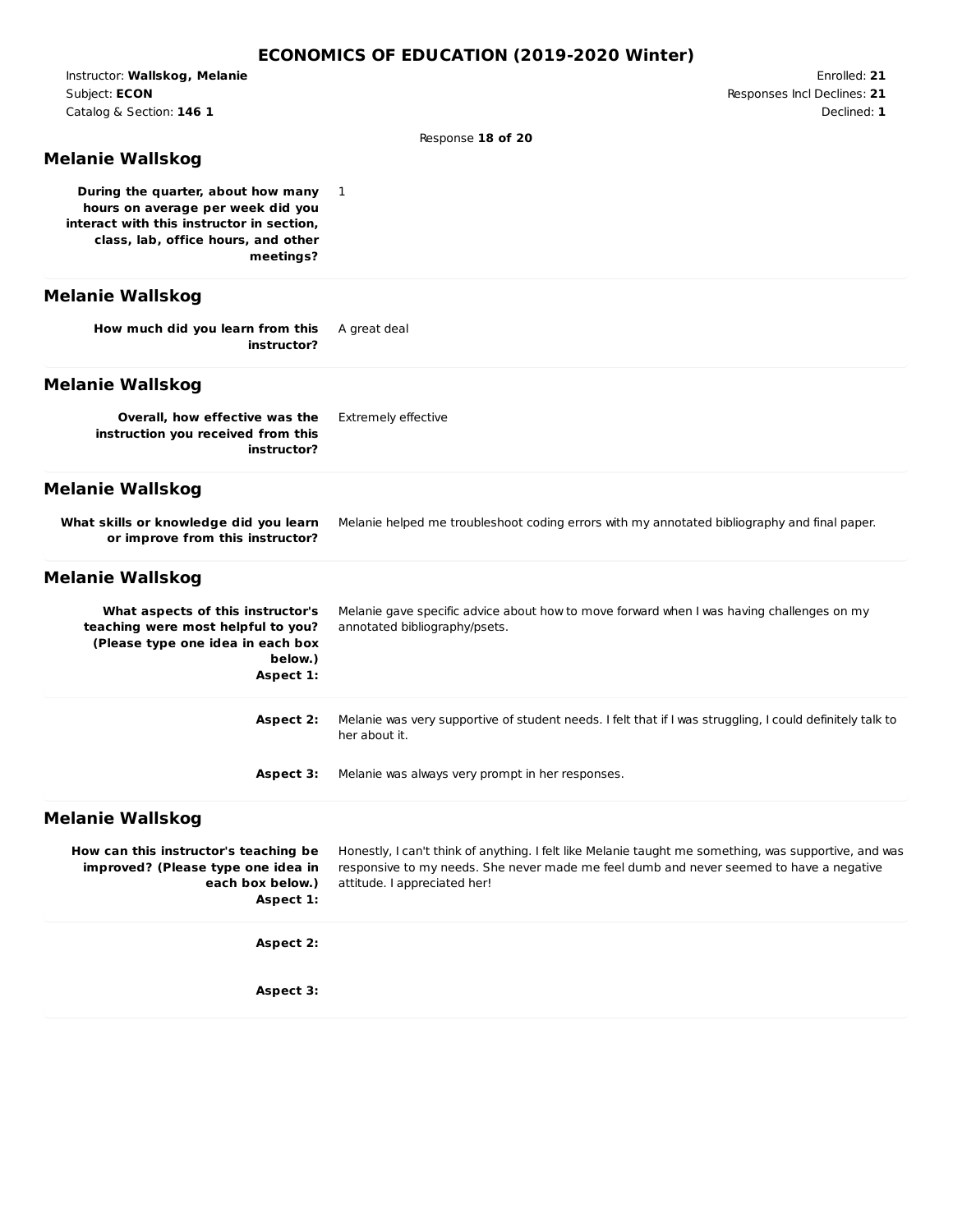Instructor: **Wallskog, Melanie** Subject: **ECON** Catalog & Section: **146 1**

Enrolled: **21** Responses Incl Declines: **21** Declined: **1**

Response **18 of 20**

### **Melanie Wallskog**

**During the quarter, about how many** 1 **hours on average per week did you interact with this instructor in section, class, lab, office hours, and other meetings?**

### **Melanie Wallskog**

| How much did you learn from this |  |             | A great deal |
|----------------------------------|--|-------------|--------------|
|                                  |  | instructor? |              |

### **Melanie Wallskog**

| Overall, how effective was the     | Extremely effective |
|------------------------------------|---------------------|
| instruction you received from this |                     |
| instructor?                        |                     |

### **Melanie Wallskog**

| What skills or knowledge did you learn | . Melanie helped me troubleshoot coding errors with my annotated bibliography and final paper. |
|----------------------------------------|------------------------------------------------------------------------------------------------|
| or improve from this instructor?       |                                                                                                |

#### **Melanie Wallskog**

| What aspects of this instructor's<br>teaching were most helpful to you?<br>(Please type one idea in each box<br>below.)<br>Aspect 1: | Melanie gave specific advice about how to move forward when I was having challenges on my<br>annotated bibliography/psets. |
|--------------------------------------------------------------------------------------------------------------------------------------|----------------------------------------------------------------------------------------------------------------------------|
| Aspect 2:                                                                                                                            | Melanie was very supportive of student needs. I felt that if I was struggling, I could definitely talk to<br>her about it. |
| Aspect 3:                                                                                                                            | Melanie was always very prompt in her responses.                                                                           |

#### **Melanie Wallskog**

**How can this instructor's teaching be improved? (Please type one idea in each box below.) Aspect 1:** Honestly, I can't think of anything. I felt like Melanie taught me something, was supportive, and was responsive to my needs. She never made me feel dumb and never seemed to have a negative attitude. I appreciated her!

**Aspect 2:**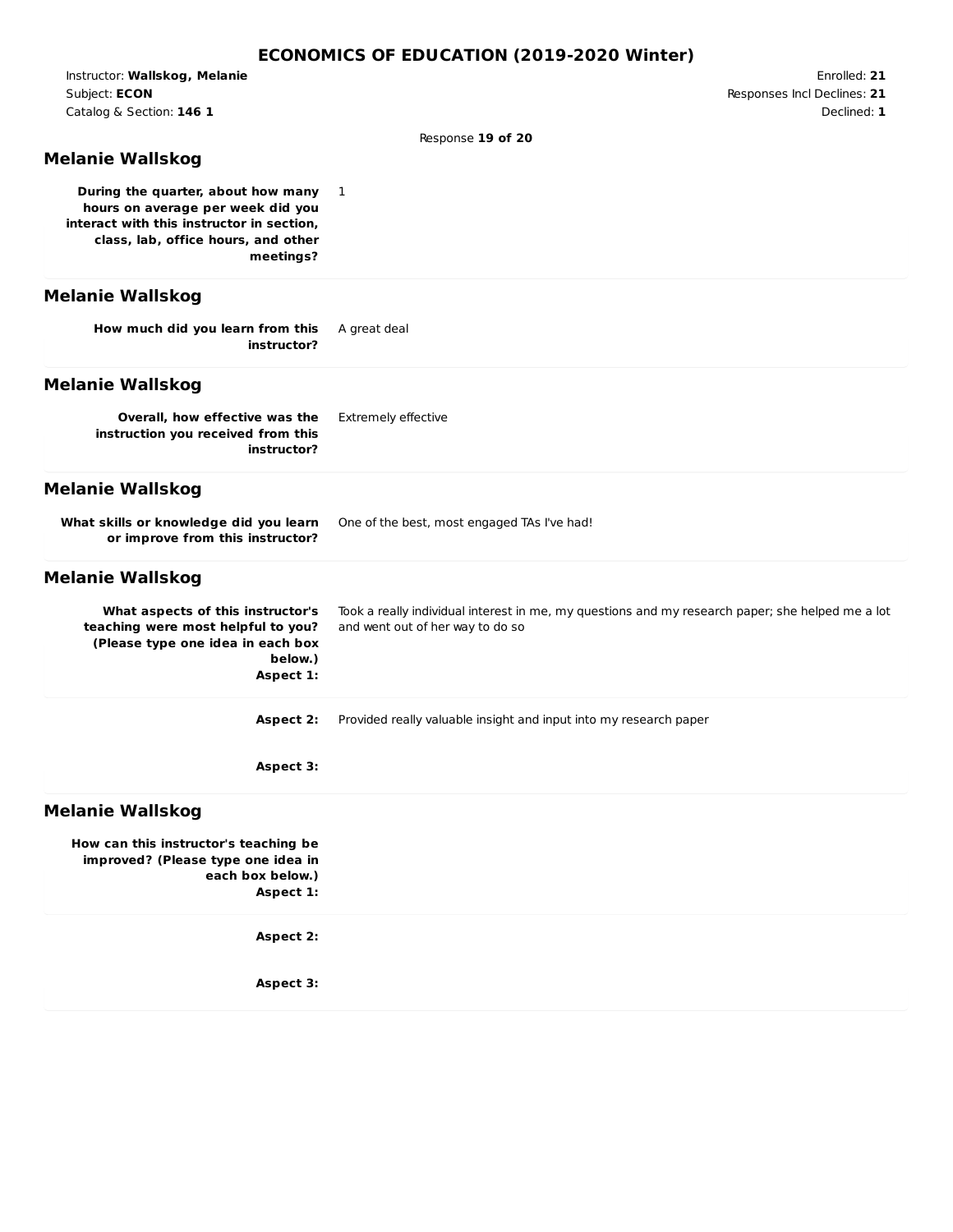Instructor: **Wallskog, Melanie** Subject: **ECON** Catalog & Section: **146 1**

Enrolled: **21** Responses Incl Declines: **21** Declined: **1**

Response **19 of 20**

### **Melanie Wallskog**

**During the quarter, about how many** 1 **hours on average per week did you interact with this instructor in section, class, lab, office hours, and other meetings?**

## **Melanie Wallskog**

| How much did you learn from this |  |             | A great deal |
|----------------------------------|--|-------------|--------------|
|                                  |  | instructor? |              |

## **Melanie Wallskog**

| Overall, how effective was the     | Extremely effective |
|------------------------------------|---------------------|
| instruction you received from this |                     |
| instructor?                        |                     |

### **Melanie Wallskog**

| What skills or knowledge did you learn | One of the best, most engaged TAs I've had! |
|----------------------------------------|---------------------------------------------|
| or improve from this instructor?       |                                             |

#### **Melanie Wallskog**

| What aspects of this instructor's<br>teaching were most helpful to you?<br>(Please type one idea in each box<br>below.)<br>Aspect 1: | Took a really individual interest in me, my questions and my research paper; she helped me a lot<br>and went out of her way to do so |
|--------------------------------------------------------------------------------------------------------------------------------------|--------------------------------------------------------------------------------------------------------------------------------------|
| Aspect 2:                                                                                                                            | Provided really valuable insight and input into my research paper                                                                    |

**Aspect 3:**

#### **Melanie Wallskog**

**How can this instructor's teaching be improved? (Please type one idea in each box below.) Aspect 1:**

**Aspect 2:**